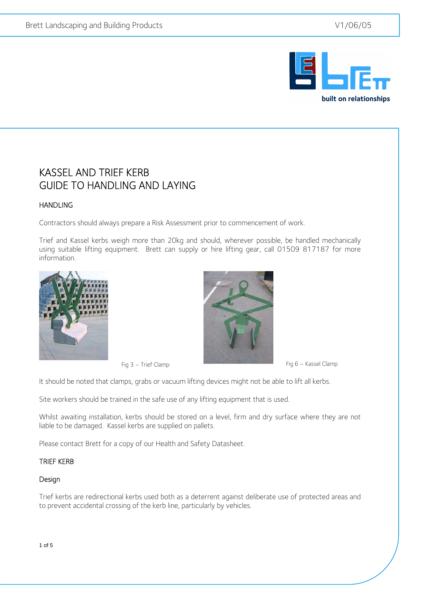

## KASSEL AND TRIEF KERB GUIDE TO HANDLING AND LAYING

## HANDLING

 $\overline{a}$ 

Contractors should always prepare a Risk Assessment prior to commencement of work.

Trief and Kassel kerbs weigh more than 20kg and should, wherever possible, be handled mechanically using suitable lifting equipment. Brett can supply or hire lifting gear, call 01509 817187 for more information.





It should be noted that clamps, grabs or vacuum lifting devices might not be able to lift all kerbs.

Site workers should be trained in the safe use of any lifting equipment that is used.

Whilst awaiting installation, kerbs should be stored on a level, firm and dry surface where they are not liable to be damaged. Kassel kerbs are supplied on pallets.

Please contact Brett for a copy of our Health and Safety Datasheet.

#### TRIEF KERB

#### Design

Trief kerbs are redirectional kerbs used both as a deterrent against deliberate use of protected areas and to prevent accidental crossing of the kerb line, particularly by vehicles.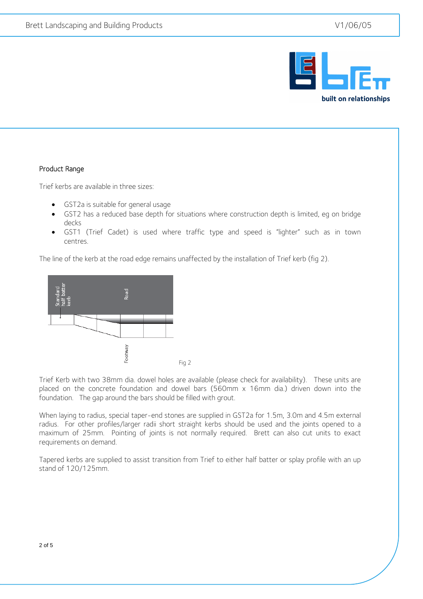

### Product Range

 $\overline{a}$ 

Trief kerbs are available in three sizes:

- GST2a is suitable for general usage
- GST2 has a reduced base depth for situations where construction depth is limited, eg on bridge decks
- GST1 (Trief Cadet) is used where traffic type and speed is "lighter" such as in town centres.

The line of the kerb at the road edge remains unaffected by the installation of Trief kerb (fig 2).



Trief Kerb with two 38mm dia. dowel holes are available (please check for availability). These units are placed on the concrete foundation and dowel bars (560mm x 16mm dia.) driven down into the foundation. The gap around the bars should be filled with grout.

When laying to radius, special taper-end stones are supplied in GST2a for 1.5m, 3.0m and 4.5m external radius. For other profiles/larger radii short straight kerbs should be used and the joints opened to a maximum of 25mm. Pointing of joints is not normally required. Brett can also cut units to exact requirements on demand.

Tapered kerbs are supplied to assist transition from Trief to either half batter or splay profile with an up stand of 120/125mm.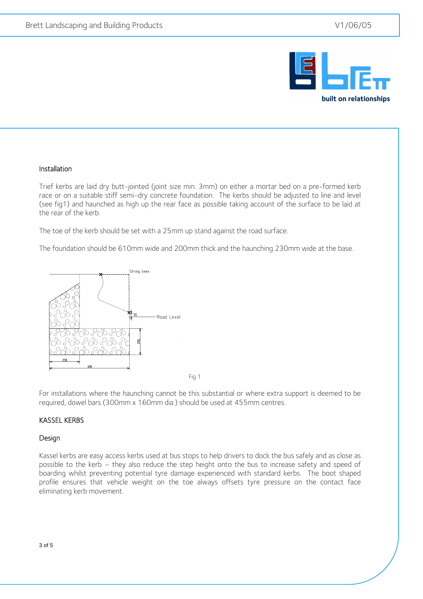

#### Installation

 $\overline{a}$ 

Trief kerbs are laid dry butt-jointed (joint size min. 3mm) on either a mortar bed on a pre-formed kerb race or on a suitable stiff semi-dry concrete foundation. The kerbs should be adjusted to line and level (see fig1) and haunched as high up the rear face as possible taking account of the surface to be laid at the rear of the kerb.

The toe of the kerb should be set with a 25mm up stand against the road surface.

The foundation should be 610mm wide and 200mm thick and the haunching 230mm wide at the base.



Fig 1

For installations where the haunching cannot be this substantial or where extra support is deemed to be required, dowel bars (300mm x 160mm dia.) should be used at 455mm centres.

#### KASSEL KERBS

#### Design

Kassel kerbs are easy access kerbs used at bus stops to help drivers to dock the bus safely and as close as possible to the kerb – they also reduce the step height onto the bus to increase safety and speed of boarding whilst preventing potential tyre damage experienced with standard kerbs. The boot shaped profile ensures that vehicle weight on the toe always offsets tyre pressure on the contact face eliminating kerb movement.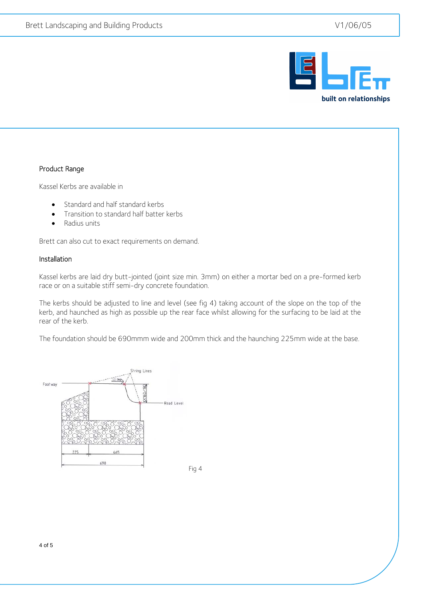

### Product Range

 $\overline{a}$ 

Kassel Kerbs are available in

- Standard and half standard kerbs
- Transition to standard half batter kerbs
- Radius units

Brett can also cut to exact requirements on demand.

#### Installation

Kassel kerbs are laid dry butt-jointed (joint size min. 3mm) on either a mortar bed on a pre-formed kerb race or on a suitable stiff semi-dry concrete foundation.

The kerbs should be adjusted to line and level (see fig 4) taking account of the slope on the top of the kerb, and haunched as high as possible up the rear face whilst allowing for the surfacing to be laid at the rear of the kerb.

The foundation should be 690mmm wide and 200mm thick and the haunching 225mm wide at the base.